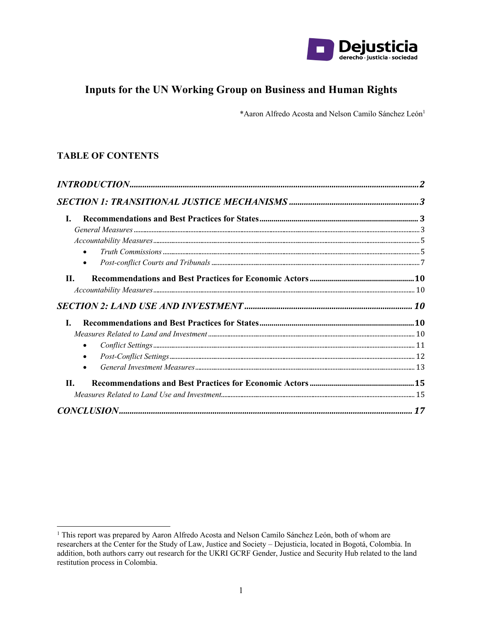

# **Inputs for the UN Working Group on Business and Human Rights**

\*Aaron Alfredo Acosta and Nelson Camilo Sánchez León<sup>1</sup>

# **TABLE OF CONTENTS**

| L.                                                                                                                                                                                                                                                                                                                       |  |
|--------------------------------------------------------------------------------------------------------------------------------------------------------------------------------------------------------------------------------------------------------------------------------------------------------------------------|--|
| $General \ Measures \ _{3} \ _{3} \ _{4} \ _{5} \ _{6} \ _{7} \ _{8} \ _{9} \ _{10} \ _{11} \ _{12} \ _{13} \ _{14} \ _{15} \ _{16} \ _{17} \ _{18} \ _{19} \ _{10} \ _{11} \ _{10} \ _{11} \ _{12} \ _{13} \ _{14} \ _{15} \ _{16} \ _{17} \ _{18} \ _{19} \ _{10} \ _{11} \ _{10} \ _{11} \ _{10} \ _{11} \ _{12} \ _$ |  |
|                                                                                                                                                                                                                                                                                                                          |  |
| $\bullet$                                                                                                                                                                                                                                                                                                                |  |
| $\bullet$                                                                                                                                                                                                                                                                                                                |  |
| $\Pi$ .                                                                                                                                                                                                                                                                                                                  |  |
|                                                                                                                                                                                                                                                                                                                          |  |
|                                                                                                                                                                                                                                                                                                                          |  |
| L.                                                                                                                                                                                                                                                                                                                       |  |
|                                                                                                                                                                                                                                                                                                                          |  |
|                                                                                                                                                                                                                                                                                                                          |  |
| $\bullet$                                                                                                                                                                                                                                                                                                                |  |
|                                                                                                                                                                                                                                                                                                                          |  |
| <b>II.</b>                                                                                                                                                                                                                                                                                                               |  |
|                                                                                                                                                                                                                                                                                                                          |  |
|                                                                                                                                                                                                                                                                                                                          |  |

<sup>&</sup>lt;sup>1</sup> This report was prepared by Aaron Alfredo Acosta and Nelson Camilo Sánchez León, both of whom are researchers at the Center for the Study of Law, Justice and Society - Dejusticia, located in Bogotá, Colombia. In addition, both authors carry out research for the UKRI GCRF Gender, Justice and Security Hub related to the land restitution process in Colombia.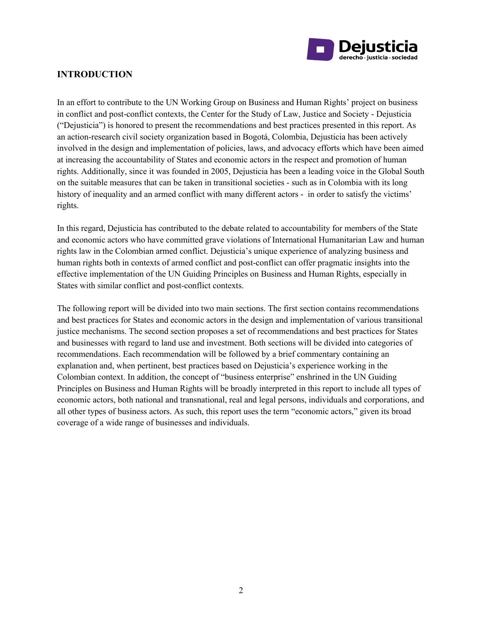

# **INTRODUCTION**

In an effort to contribute to the UN Working Group on Business and Human Rights' project on business in conflict and post-conflict contexts, the Center for the Study of Law, Justice and Society - Dejusticia ("Dejusticia") is honored to present the recommendations and best practices presented in this report. As an action-research civil society organization based in Bogotá, Colombia, Dejusticia has been actively involved in the design and implementation of policies, laws, and advocacy efforts which have been aimed at increasing the accountability of States and economic actors in the respect and promotion of human rights. Additionally, since it was founded in 2005, Dejusticia has been a leading voice in the Global South on the suitable measures that can be taken in transitional societies - such as in Colombia with its long history of inequality and an armed conflict with many different actors - in order to satisfy the victims' rights.

In this regard, Dejusticia has contributed to the debate related to accountability for members of the State and economic actors who have committed grave violations of International Humanitarian Law and human rights law in the Colombian armed conflict. Dejusticia's unique experience of analyzing business and human rights both in contexts of armed conflict and post-conflict can offer pragmatic insights into the effective implementation of the UN Guiding Principles on Business and Human Rights, especially in States with similar conflict and post-conflict contexts.

The following report will be divided into two main sections. The first section contains recommendations and best practices for States and economic actors in the design and implementation of various transitional justice mechanisms. The second section proposes a set of recommendations and best practices for States and businesses with regard to land use and investment. Both sections will be divided into categories of recommendations. Each recommendation will be followed by a brief commentary containing an explanation and, when pertinent, best practices based on Dejusticia's experience working in the Colombian context. In addition, the concept of "business enterprise" enshrined in the UN Guiding Principles on Business and Human Rights will be broadly interpreted in this report to include all types of economic actors, both national and transnational, real and legal persons, individuals and corporations, and all other types of business actors. As such, this report uses the term "economic actors," given its broad coverage of a wide range of businesses and individuals.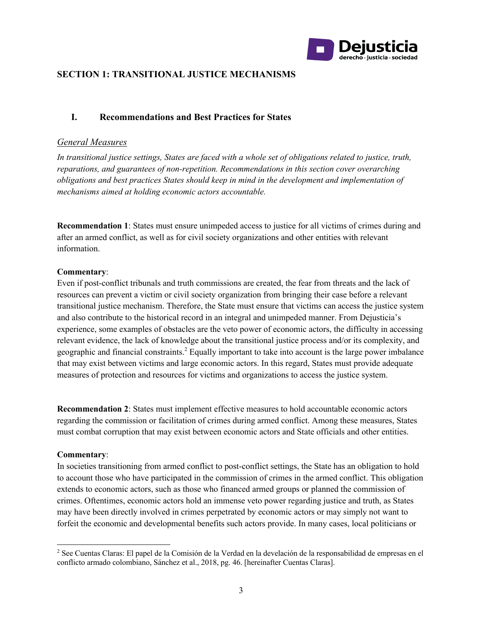

# **SECTION 1: TRANSITIONAL JUSTICE MECHANISMS**

# **I. Recommendations and Best Practices for States**

#### *General Measures*

*In transitional justice settings, States are faced with a whole set of obligations related to justice, truth, reparations, and guarantees of non-repetition. Recommendations in this section cover overarching obligations and best practices States should keep in mind in the development and implementation of mechanisms aimed at holding economic actors accountable.* 

**Recommendation 1**: States must ensure unimpeded access to justice for all victims of crimes during and after an armed conflict, as well as for civil society organizations and other entities with relevant information.

#### **Commentary**:

Even if post-conflict tribunals and truth commissions are created, the fear from threats and the lack of resources can prevent a victim or civil society organization from bringing their case before a relevant transitional justice mechanism. Therefore, the State must ensure that victims can access the justice system and also contribute to the historical record in an integral and unimpeded manner. From Dejusticia's experience, some examples of obstacles are the veto power of economic actors, the difficulty in accessing relevant evidence, the lack of knowledge about the transitional justice process and/or its complexity, and geographic and financial constraints.<sup>2</sup> Equally important to take into account is the large power imbalance that may exist between victims and large economic actors. In this regard, States must provide adequate measures of protection and resources for victims and organizations to access the justice system.

**Recommendation 2**: States must implement effective measures to hold accountable economic actors regarding the commission or facilitation of crimes during armed conflict. Among these measures, States must combat corruption that may exist between economic actors and State officials and other entities.

#### **Commentary**:

In societies transitioning from armed conflict to post-conflict settings, the State has an obligation to hold to account those who have participated in the commission of crimes in the armed conflict. This obligation extends to economic actors, such as those who financed armed groups or planned the commission of crimes. Oftentimes, economic actors hold an immense veto power regarding justice and truth, as States may have been directly involved in crimes perpetrated by economic actors or may simply not want to forfeit the economic and developmental benefits such actors provide. In many cases, local politicians or

<sup>2</sup> See Cuentas Claras: El papel de la Comisión de la Verdad en la develación de la responsabilidad de empresas en el conflicto armado colombiano, Sánchez et al., 2018, pg. 46. [hereinafter Cuentas Claras].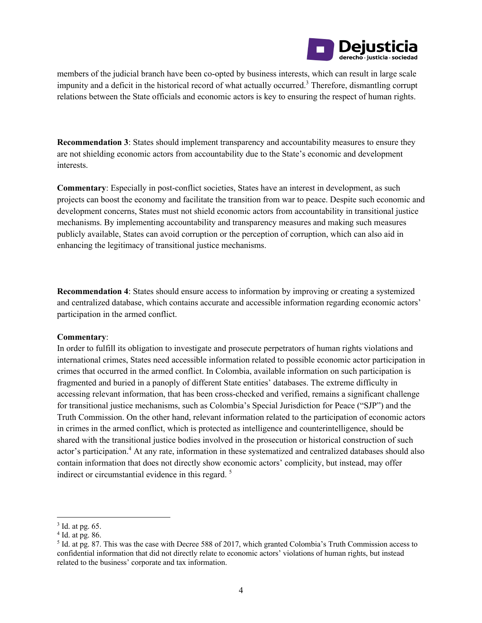

members of the judicial branch have been co-opted by business interests, which can result in large scale impunity and a deficit in the historical record of what actually occurred.<sup>3</sup> Therefore, dismantling corrupt relations between the State officials and economic actors is key to ensuring the respect of human rights.

**Recommendation 3**: States should implement transparency and accountability measures to ensure they are not shielding economic actors from accountability due to the State's economic and development interests.

**Commentary**: Especially in post-conflict societies, States have an interest in development, as such projects can boost the economy and facilitate the transition from war to peace. Despite such economic and development concerns, States must not shield economic actors from accountability in transitional justice mechanisms. By implementing accountability and transparency measures and making such measures publicly available, States can avoid corruption or the perception of corruption, which can also aid in enhancing the legitimacy of transitional justice mechanisms.

**Recommendation 4**: States should ensure access to information by improving or creating a systemized and centralized database, which contains accurate and accessible information regarding economic actors' participation in the armed conflict.

#### **Commentary**:

In order to fulfill its obligation to investigate and prosecute perpetrators of human rights violations and international crimes, States need accessible information related to possible economic actor participation in crimes that occurred in the armed conflict. In Colombia, available information on such participation is fragmented and buried in a panoply of different State entities' databases. The extreme difficulty in accessing relevant information, that has been cross-checked and verified, remains a significant challenge for transitional justice mechanisms, such as Colombia's Special Jurisdiction for Peace ("SJP") and the Truth Commission. On the other hand, relevant information related to the participation of economic actors in crimes in the armed conflict, which is protected as intelligence and counterintelligence, should be shared with the transitional justice bodies involved in the prosecution or historical construction of such actor's participation.4 At any rate, information in these systematized and centralized databases should also contain information that does not directly show economic actors' complicity, but instead, may offer indirect or circumstantial evidence in this regard.<sup>5</sup>

 $3$  Id. at pg. 65.

 $4$  Id. at pg. 86.

<sup>5</sup> Id. at pg. 87. This was the case with Decree 588 of 2017, which granted Colombia's Truth Commission access to confidential information that did not directly relate to economic actors' violations of human rights, but instead related to the business' corporate and tax information.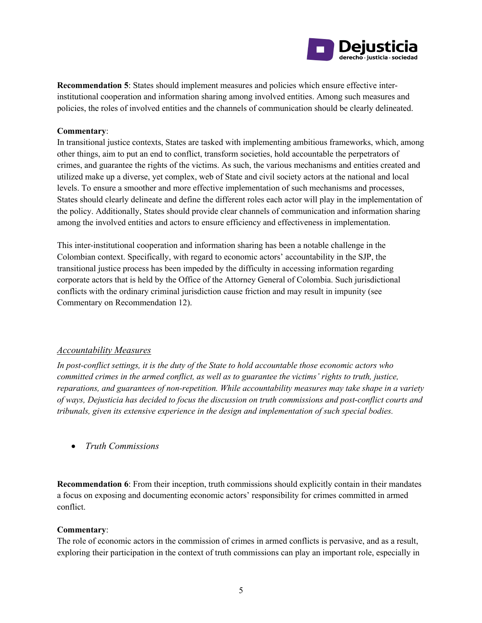

**Recommendation 5**: States should implement measures and policies which ensure effective interinstitutional cooperation and information sharing among involved entities. Among such measures and policies, the roles of involved entities and the channels of communication should be clearly delineated.

#### **Commentary**:

In transitional justice contexts, States are tasked with implementing ambitious frameworks, which, among other things, aim to put an end to conflict, transform societies, hold accountable the perpetrators of crimes, and guarantee the rights of the victims. As such, the various mechanisms and entities created and utilized make up a diverse, yet complex, web of State and civil society actors at the national and local levels. To ensure a smoother and more effective implementation of such mechanisms and processes, States should clearly delineate and define the different roles each actor will play in the implementation of the policy. Additionally, States should provide clear channels of communication and information sharing among the involved entities and actors to ensure efficiency and effectiveness in implementation.

This inter-institutional cooperation and information sharing has been a notable challenge in the Colombian context. Specifically, with regard to economic actors' accountability in the SJP, the transitional justice process has been impeded by the difficulty in accessing information regarding corporate actors that is held by the Office of the Attorney General of Colombia. Such jurisdictional conflicts with the ordinary criminal jurisdiction cause friction and may result in impunity (see Commentary on Recommendation 12).

#### *Accountability Measures*

*In post-conflict settings, it is the duty of the State to hold accountable those economic actors who committed crimes in the armed conflict, as well as to guarantee the victims' rights to truth, justice, reparations, and guarantees of non-repetition. While accountability measures may take shape in a variety of ways, Dejusticia has decided to focus the discussion on truth commissions and post-conflict courts and tribunals, given its extensive experience in the design and implementation of such special bodies.* 

• *Truth Commissions*

**Recommendation 6**: From their inception, truth commissions should explicitly contain in their mandates a focus on exposing and documenting economic actors' responsibility for crimes committed in armed conflict.

#### **Commentary**:

The role of economic actors in the commission of crimes in armed conflicts is pervasive, and as a result, exploring their participation in the context of truth commissions can play an important role, especially in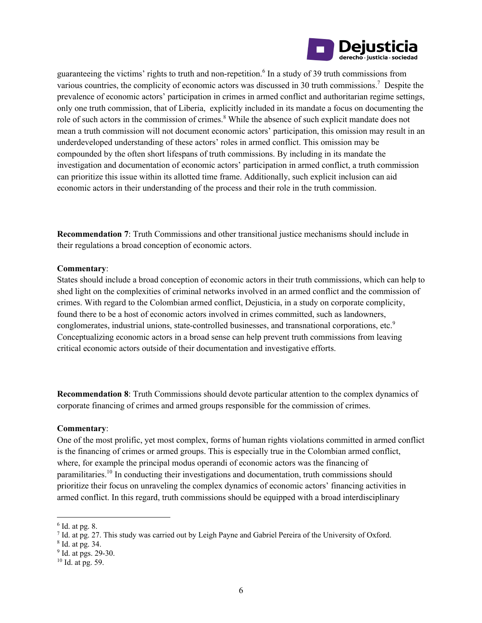

guaranteeing the victims' rights to truth and non-repetition.<sup>6</sup> In a study of 39 truth commissions from various countries, the complicity of economic actors was discussed in 30 truth commissions.<sup>7</sup> Despite the prevalence of economic actors' participation in crimes in armed conflict and authoritarian regime settings, only one truth commission, that of Liberia, explicitly included in its mandate a focus on documenting the role of such actors in the commission of crimes.<sup>8</sup> While the absence of such explicit mandate does not mean a truth commission will not document economic actors' participation, this omission may result in an underdeveloped understanding of these actors' roles in armed conflict. This omission may be compounded by the often short lifespans of truth commissions. By including in its mandate the investigation and documentation of economic actors' participation in armed conflict, a truth commission can prioritize this issue within its allotted time frame. Additionally, such explicit inclusion can aid economic actors in their understanding of the process and their role in the truth commission.

**Recommendation 7**: Truth Commissions and other transitional justice mechanisms should include in their regulations a broad conception of economic actors.

#### **Commentary**:

States should include a broad conception of economic actors in their truth commissions, which can help to shed light on the complexities of criminal networks involved in an armed conflict and the commission of crimes. With regard to the Colombian armed conflict, Dejusticia, in a study on corporate complicity, found there to be a host of economic actors involved in crimes committed, such as landowners, conglomerates, industrial unions, state-controlled businesses, and transnational corporations, etc.<sup>9</sup> Conceptualizing economic actors in a broad sense can help prevent truth commissions from leaving critical economic actors outside of their documentation and investigative efforts.

**Recommendation 8**: Truth Commissions should devote particular attention to the complex dynamics of corporate financing of crimes and armed groups responsible for the commission of crimes.

#### **Commentary**:

One of the most prolific, yet most complex, forms of human rights violations committed in armed conflict is the financing of crimes or armed groups. This is especially true in the Colombian armed conflict, where, for example the principal modus operandi of economic actors was the financing of paramilitaries.10 In conducting their investigations and documentation, truth commissions should prioritize their focus on unraveling the complex dynamics of economic actors' financing activities in armed conflict. In this regard, truth commissions should be equipped with a broad interdisciplinary

 $6$  Id. at pg. 8.

<sup>7</sup> Id. at pg. 27. This study was carried out by Leigh Payne and Gabriel Pereira of the University of Oxford.

<sup>8</sup> Id. at pg. 34.

 $9^9$  Id. at pgs. 29-30.<br><sup>10</sup> Id. at pg. 59.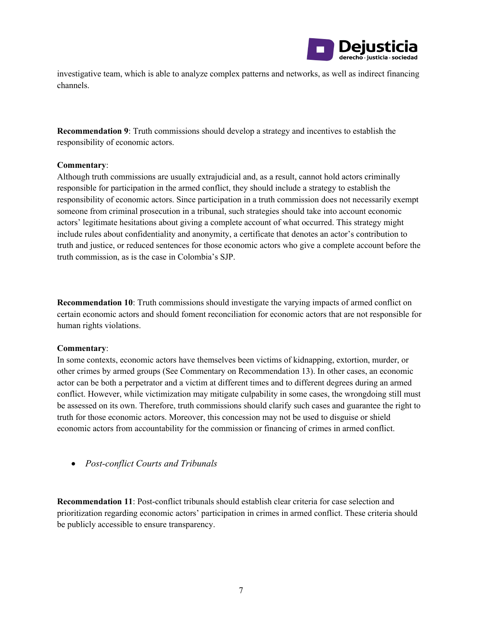

investigative team, which is able to analyze complex patterns and networks, as well as indirect financing channels.

**Recommendation 9**: Truth commissions should develop a strategy and incentives to establish the responsibility of economic actors.

#### **Commentary**:

Although truth commissions are usually extrajudicial and, as a result, cannot hold actors criminally responsible for participation in the armed conflict, they should include a strategy to establish the responsibility of economic actors. Since participation in a truth commission does not necessarily exempt someone from criminal prosecution in a tribunal, such strategies should take into account economic actors' legitimate hesitations about giving a complete account of what occurred. This strategy might include rules about confidentiality and anonymity, a certificate that denotes an actor's contribution to truth and justice, or reduced sentences for those economic actors who give a complete account before the truth commission, as is the case in Colombia's SJP.

**Recommendation 10**: Truth commissions should investigate the varying impacts of armed conflict on certain economic actors and should foment reconciliation for economic actors that are not responsible for human rights violations.

#### **Commentary**:

In some contexts, economic actors have themselves been victims of kidnapping, extortion, murder, or other crimes by armed groups (See Commentary on Recommendation 13). In other cases, an economic actor can be both a perpetrator and a victim at different times and to different degrees during an armed conflict. However, while victimization may mitigate culpability in some cases, the wrongdoing still must be assessed on its own. Therefore, truth commissions should clarify such cases and guarantee the right to truth for those economic actors. Moreover, this concession may not be used to disguise or shield economic actors from accountability for the commission or financing of crimes in armed conflict.

• *Post-conflict Courts and Tribunals*

**Recommendation 11**: Post-conflict tribunals should establish clear criteria for case selection and prioritization regarding economic actors' participation in crimes in armed conflict. These criteria should be publicly accessible to ensure transparency.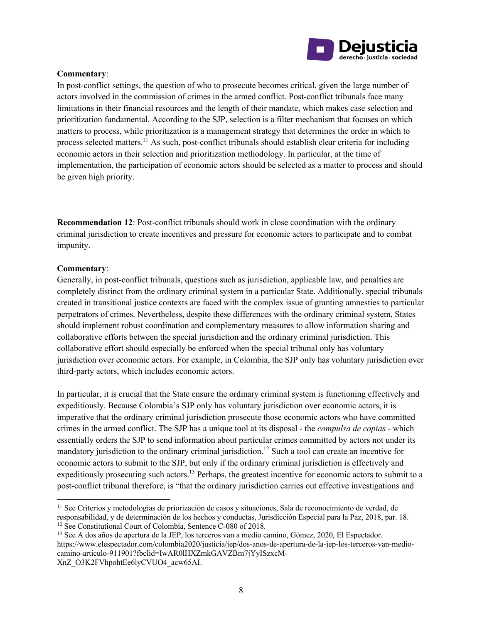

#### **Commentary**:

In post-conflict settings, the question of who to prosecute becomes critical, given the large number of actors involved in the commission of crimes in the armed conflict. Post-conflict tribunals face many limitations in their financial resources and the length of their mandate, which makes case selection and prioritization fundamental. According to the SJP, selection is a filter mechanism that focuses on which matters to process, while prioritization is a management strategy that determines the order in which to process selected matters.11 As such, post-conflict tribunals should establish clear criteria for including economic actors in their selection and prioritization methodology. In particular, at the time of implementation, the participation of economic actors should be selected as a matter to process and should be given high priority.

**Recommendation 12**: Post-conflict tribunals should work in close coordination with the ordinary criminal jurisdiction to create incentives and pressure for economic actors to participate and to combat impunity.

#### **Commentary**:

Generally, in post-conflict tribunals, questions such as jurisdiction, applicable law, and penalties are completely distinct from the ordinary criminal system in a particular State. Additionally, special tribunals created in transitional justice contexts are faced with the complex issue of granting amnesties to particular perpetrators of crimes. Nevertheless, despite these differences with the ordinary criminal system, States should implement robust coordination and complementary measures to allow information sharing and collaborative efforts between the special jurisdiction and the ordinary criminal jurisdiction. This collaborative effort should especially be enforced when the special tribunal only has voluntary jurisdiction over economic actors. For example, in Colombia, the SJP only has voluntary jurisdiction over third-party actors, which includes economic actors.

In particular, it is crucial that the State ensure the ordinary criminal system is functioning effectively and expeditiously. Because Colombia's SJP only has voluntary jurisdiction over economic actors, it is imperative that the ordinary criminal jurisdiction prosecute those economic actors who have committed crimes in the armed conflict. The SJP has a unique tool at its disposal - the *compulsa de copias* - which essentially orders the SJP to send information about particular crimes committed by actors not under its mandatory jurisdiction to the ordinary criminal jurisdiction.<sup>12</sup> Such a tool can create an incentive for economic actors to submit to the SJP, but only if the ordinary criminal jurisdiction is effectively and expeditiously prosecuting such actors.<sup>13</sup> Perhaps, the greatest incentive for economic actors to submit to a post-conflict tribunal therefore, is "that the ordinary jurisdiction carries out effective investigations and

<sup>&</sup>lt;sup>11</sup> See Criterios y metodologías de priorización de casos y situaciones, Sala de reconocimiento de verdad, de responsabilidad, y de determinación de los hechos y conductas, Jurisdicción Especial para la Paz, 2018, par. 18

<sup>&</sup>lt;sup>12</sup> See Constitutional Court of Colombia, Sentence C-080 of 2018.<br><sup>13</sup> See A dos años de apertura de la JEP, los terceros van a medio camino, Gómez, 2020, El Espectador. https://www.elespectador.com/colombia2020/justicia/jep/dos-anos-de-apertura-de-la-jep-los-terceros-van-mediocamino-articulo-911901?fbclid=IwAR0lHXZmkGAVZBm7jYyISzxcM-

XnZ\_O3K2FVhpohtEe6lyCVUO4\_acw65AI.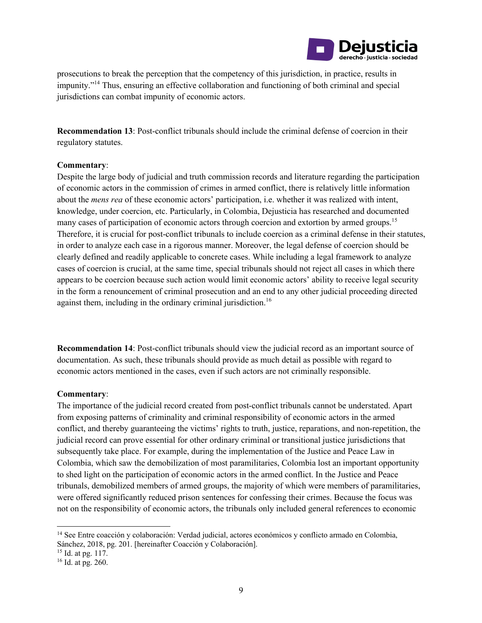

prosecutions to break the perception that the competency of this jurisdiction, in practice, results in impunity."14 Thus, ensuring an effective collaboration and functioning of both criminal and special jurisdictions can combat impunity of economic actors.

**Recommendation 13**: Post-conflict tribunals should include the criminal defense of coercion in their regulatory statutes.

#### **Commentary**:

Despite the large body of judicial and truth commission records and literature regarding the participation of economic actors in the commission of crimes in armed conflict, there is relatively little information about the *mens rea* of these economic actors' participation, i.e. whether it was realized with intent, knowledge, under coercion, etc. Particularly, in Colombia, Dejusticia has researched and documented many cases of participation of economic actors through coercion and extortion by armed groups.<sup>15</sup> Therefore, it is crucial for post-conflict tribunals to include coercion as a criminal defense in their statutes, in order to analyze each case in a rigorous manner. Moreover, the legal defense of coercion should be clearly defined and readily applicable to concrete cases. While including a legal framework to analyze cases of coercion is crucial, at the same time, special tribunals should not reject all cases in which there appears to be coercion because such action would limit economic actors' ability to receive legal security in the form a renouncement of criminal prosecution and an end to any other judicial proceeding directed against them, including in the ordinary criminal jurisdiction.<sup>16</sup>

**Recommendation 14**: Post-conflict tribunals should view the judicial record as an important source of documentation. As such, these tribunals should provide as much detail as possible with regard to economic actors mentioned in the cases, even if such actors are not criminally responsible.

#### **Commentary**:

The importance of the judicial record created from post-conflict tribunals cannot be understated. Apart from exposing patterns of criminality and criminal responsibility of economic actors in the armed conflict, and thereby guaranteeing the victims' rights to truth, justice, reparations, and non-repetition, the judicial record can prove essential for other ordinary criminal or transitional justice jurisdictions that subsequently take place. For example, during the implementation of the Justice and Peace Law in Colombia, which saw the demobilization of most paramilitaries, Colombia lost an important opportunity to shed light on the participation of economic actors in the armed conflict. In the Justice and Peace tribunals, demobilized members of armed groups, the majority of which were members of paramilitaries, were offered significantly reduced prison sentences for confessing their crimes. Because the focus was not on the responsibility of economic actors, the tribunals only included general references to economic

<sup>14</sup> See Entre coacción y colaboración: Verdad judicial, actores económicos y conflicto armado en Colombia, Sánchez, 2018, pg. 201. [hereinafter Coacción y Colaboración]. 15 Id. at pg. 117.

<sup>16</sup> Id. at pg. 260.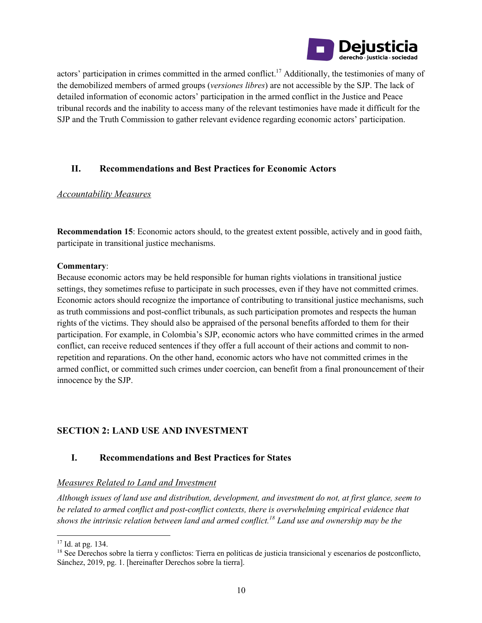

actors' participation in crimes committed in the armed conflict.<sup>17</sup> Additionally, the testimonies of many of the demobilized members of armed groups (*versiones libres*) are not accessible by the SJP. The lack of detailed information of economic actors' participation in the armed conflict in the Justice and Peace tribunal records and the inability to access many of the relevant testimonies have made it difficult for the SJP and the Truth Commission to gather relevant evidence regarding economic actors' participation.

# **II. Recommendations and Best Practices for Economic Actors**

#### *Accountability Measures*

**Recommendation 15**: Economic actors should, to the greatest extent possible, actively and in good faith, participate in transitional justice mechanisms.

#### **Commentary**:

Because economic actors may be held responsible for human rights violations in transitional justice settings, they sometimes refuse to participate in such processes, even if they have not committed crimes. Economic actors should recognize the importance of contributing to transitional justice mechanisms, such as truth commissions and post-conflict tribunals, as such participation promotes and respects the human rights of the victims. They should also be appraised of the personal benefits afforded to them for their participation. For example, in Colombia's SJP, economic actors who have committed crimes in the armed conflict, can receive reduced sentences if they offer a full account of their actions and commit to nonrepetition and reparations. On the other hand, economic actors who have not committed crimes in the armed conflict, or committed such crimes under coercion, can benefit from a final pronouncement of their innocence by the SJP.

# **SECTION 2: LAND USE AND INVESTMENT**

### **I. Recommendations and Best Practices for States**

### *Measures Related to Land and Investment*

*Although issues of land use and distribution, development, and investment do not, at first glance, seem to be related to armed conflict and post-conflict contexts, there is overwhelming empirical evidence that shows the intrinsic relation between land and armed conflict.18 Land use and ownership may be the* 

<sup>&</sup>lt;sup>17</sup> Id. at pg. 134.<br><sup>18</sup> See Derechos sobre la tierra y conflictos: Tierra en políticas de justicia transicional y escenarios de postconflicto, Sánchez, 2019, pg. 1. [hereinafter Derechos sobre la tierra].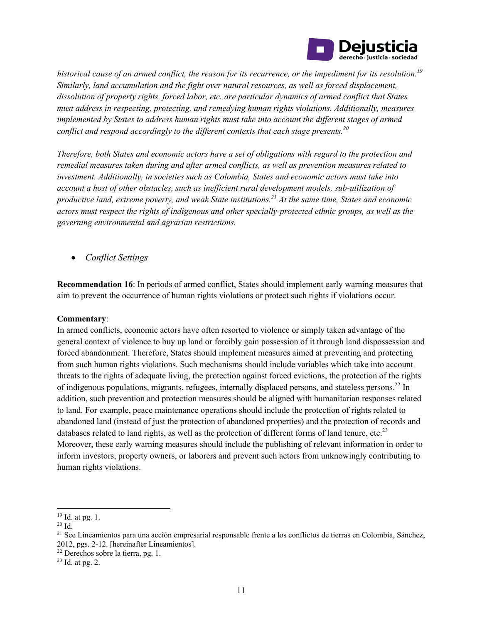

*historical cause of an armed conflict, the reason for its recurrence, or the impediment for its resolution.19 Similarly, land accumulation and the fight over natural resources, as well as forced displacement, dissolution of property rights, forced labor, etc. are particular dynamics of armed conflict that States must address in respecting, protecting, and remedying human rights violations. Additionally, measures implemented by States to address human rights must take into account the different stages of armed conflict and respond accordingly to the different contexts that each stage presents.<sup>20</sup>*

*Therefore, both States and economic actors have a set of obligations with regard to the protection and remedial measures taken during and after armed conflicts, as well as prevention measures related to investment. Additionally, in societies such as Colombia, States and economic actors must take into account a host of other obstacles, such as inefficient rural development models, sub-utilization of productive land, extreme poverty, and weak State institutions.21 At the same time, States and economic actors must respect the rights of indigenous and other specially-protected ethnic groups, as well as the governing environmental and agrarian restrictions.* 

• *Conflict Settings*

**Recommendation 16**: In periods of armed conflict, States should implement early warning measures that aim to prevent the occurrence of human rights violations or protect such rights if violations occur.

#### **Commentary**:

In armed conflicts, economic actors have often resorted to violence or simply taken advantage of the general context of violence to buy up land or forcibly gain possession of it through land dispossession and forced abandonment. Therefore, States should implement measures aimed at preventing and protecting from such human rights violations. Such mechanisms should include variables which take into account threats to the rights of adequate living, the protection against forced evictions, the protection of the rights of indigenous populations, migrants, refugees, internally displaced persons, and stateless persons.22 In addition, such prevention and protection measures should be aligned with humanitarian responses related to land. For example, peace maintenance operations should include the protection of rights related to abandoned land (instead of just the protection of abandoned properties) and the protection of records and databases related to land rights, as well as the protection of different forms of land tenure, etc.<sup>23</sup> Moreover, these early warning measures should include the publishing of relevant information in order to inform investors, property owners, or laborers and prevent such actors from unknowingly contributing to human rights violations.

<sup>&</sup>lt;sup>19</sup> Id. at pg. 1.<br><sup>20</sup> Id.<br><sup>21</sup> See Lineamientos para una acción empresarial responsable frente a los conflictos de tierras en Colombia, Sánchez, 2012, pgs. 2-12. [hereinafter Lineamientos].

 $22$  Derechos sobre la tierra, pg. 1.<br> $23$  Id. at pg. 2.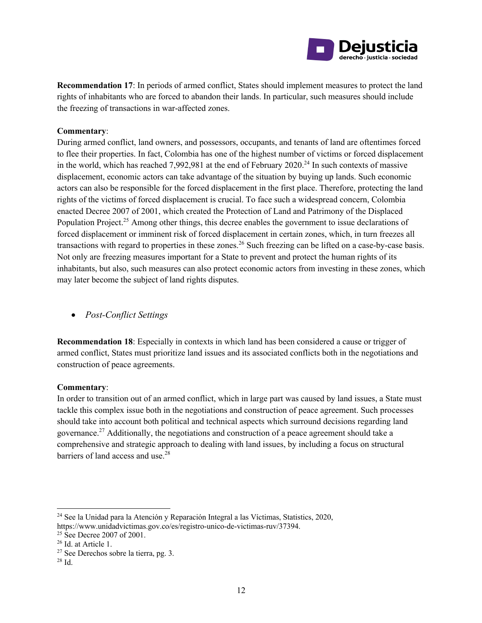

**Recommendation 17**: In periods of armed conflict, States should implement measures to protect the land rights of inhabitants who are forced to abandon their lands. In particular, such measures should include the freezing of transactions in war-affected zones.

#### **Commentary**:

During armed conflict, land owners, and possessors, occupants, and tenants of land are oftentimes forced to flee their properties. In fact, Colombia has one of the highest number of victims or forced displacement in the world, which has reached 7,992,981 at the end of February 2020.<sup>24</sup> In such contexts of massive displacement, economic actors can take advantage of the situation by buying up lands. Such economic actors can also be responsible for the forced displacement in the first place. Therefore, protecting the land rights of the victims of forced displacement is crucial. To face such a widespread concern, Colombia enacted Decree 2007 of 2001, which created the Protection of Land and Patrimony of the Displaced Population Project.<sup>25</sup> Among other things, this decree enables the government to issue declarations of forced displacement or imminent risk of forced displacement in certain zones, which, in turn freezes all transactions with regard to properties in these zones.<sup>26</sup> Such freezing can be lifted on a case-by-case basis. Not only are freezing measures important for a State to prevent and protect the human rights of its inhabitants, but also, such measures can also protect economic actors from investing in these zones, which may later become the subject of land rights disputes.

• *Post-Conflict Settings*

**Recommendation 18**: Especially in contexts in which land has been considered a cause or trigger of armed conflict, States must prioritize land issues and its associated conflicts both in the negotiations and construction of peace agreements.

#### **Commentary**:

In order to transition out of an armed conflict, which in large part was caused by land issues, a State must tackle this complex issue both in the negotiations and construction of peace agreement. Such processes should take into account both political and technical aspects which surround decisions regarding land governance.<sup>27</sup> Additionally, the negotiations and construction of a peace agreement should take a comprehensive and strategic approach to dealing with land issues, by including a focus on structural barriers of land access and use.<sup>28</sup>

<sup>24</sup> See la Unidad para la Atención y Reparación Integral a las Víctimas, Statistics, 2020, https://www.unidadvictimas.gov.co/es/registro-unico-de-victimas-ruv/37394.

<sup>&</sup>lt;sup>25</sup> See Decree 2007 of 2001.<br><sup>26</sup> Id. at Article 1.<br><sup>27</sup> See Derechos sobre la tierra, pg. 3.<br><sup>28</sup> Id.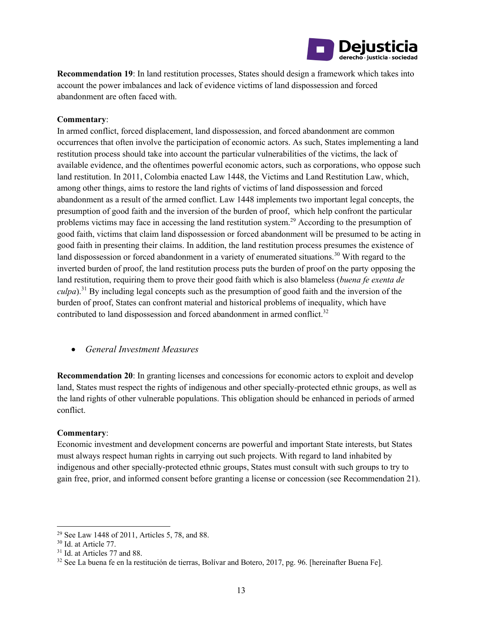

**Recommendation 19**: In land restitution processes, States should design a framework which takes into account the power imbalances and lack of evidence victims of land dispossession and forced abandonment are often faced with.

#### **Commentary**:

In armed conflict, forced displacement, land dispossession, and forced abandonment are common occurrences that often involve the participation of economic actors. As such, States implementing a land restitution process should take into account the particular vulnerabilities of the victims, the lack of available evidence, and the oftentimes powerful economic actors, such as corporations, who oppose such land restitution. In 2011, Colombia enacted Law 1448, the Victims and Land Restitution Law, which, among other things, aims to restore the land rights of victims of land dispossession and forced abandonment as a result of the armed conflict. Law 1448 implements two important legal concepts, the presumption of good faith and the inversion of the burden of proof, which help confront the particular problems victims may face in accessing the land restitution system.29 According to the presumption of good faith, victims that claim land dispossession or forced abandonment will be presumed to be acting in good faith in presenting their claims. In addition, the land restitution process presumes the existence of land dispossession or forced abandonment in a variety of enumerated situations.<sup>30</sup> With regard to the inverted burden of proof, the land restitution process puts the burden of proof on the party opposing the land restitution, requiring them to prove their good faith which is also blameless (*buena fe exenta de culpa*).<sup>31</sup> By including legal concepts such as the presumption of good faith and the inversion of the burden of proof, States can confront material and historical problems of inequality, which have contributed to land dispossession and forced abandonment in armed conflict.<sup>32</sup>

#### • *General Investment Measures*

**Recommendation 20**: In granting licenses and concessions for economic actors to exploit and develop land, States must respect the rights of indigenous and other specially-protected ethnic groups, as well as the land rights of other vulnerable populations. This obligation should be enhanced in periods of armed conflict.

#### **Commentary**:

Economic investment and development concerns are powerful and important State interests, but States must always respect human rights in carrying out such projects. With regard to land inhabited by indigenous and other specially-protected ethnic groups, States must consult with such groups to try to gain free, prior, and informed consent before granting a license or concession (see Recommendation 21).

<sup>&</sup>lt;sup>29</sup> See Law 1448 of 2011, Articles 5, 78, and 88. <sup>30</sup> Id. at Article 77.

 $31$  Id. at Articles 77 and 88.<br> $32$  See La buena fe en la restitución de tierras, Bolívar and Botero, 2017, pg. 96. [hereinafter Buena Fe].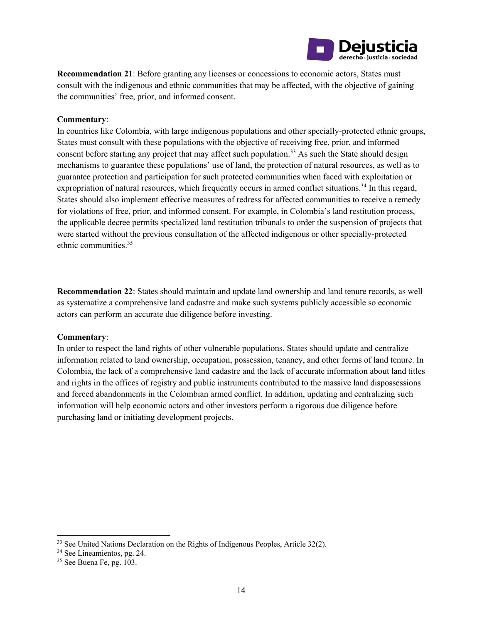

**Recommendation 21**: Before granting any licenses or concessions to economic actors, States must consult with the indigenous and ethnic communities that may be affected, with the objective of gaining the communities' free, prior, and informed consent.

#### **Commentary**:

In countries like Colombia, with large indigenous populations and other specially-protected ethnic groups, States must consult with these populations with the objective of receiving free, prior, and informed consent before starting any project that may affect such population.<sup>33</sup> As such the State should design mechanisms to guarantee these populations' use of land, the protection of natural resources, as well as to guarantee protection and participation for such protected communities when faced with exploitation or expropriation of natural resources, which frequently occurs in armed conflict situations.<sup>34</sup> In this regard, States should also implement effective measures of redress for affected communities to receive a remedy for violations of free, prior, and informed consent. For example, in Colombia's land restitution process, the applicable decree permits specialized land restitution tribunals to order the suspension of projects that were started without the previous consultation of the affected indigenous or other specially-protected ethnic communities.<sup>35</sup>

**Recommendation 22**: States should maintain and update land ownership and land tenure records, as well as systematize a comprehensive land cadastre and make such systems publicly accessible so economic actors can perform an accurate due diligence before investing.

#### **Commentary**:

In order to respect the land rights of other vulnerable populations, States should update and centralize information related to land ownership, occupation, possession, tenancy, and other forms of land tenure. In Colombia, the lack of a comprehensive land cadastre and the lack of accurate information about land titles and rights in the offices of registry and public instruments contributed to the massive land dispossessions and forced abandonments in the Colombian armed conflict. In addition, updating and centralizing such information will help economic actors and other investors perform a rigorous due diligence before purchasing land or initiating development projects.

<sup>&</sup>lt;sup>33</sup> See United Nations Declaration on the Rights of Indigenous Peoples, Article 32(2). <sup>34</sup> See Lineamientos, pg. 24. <sup>35</sup> See Buena Fe, pg. 103.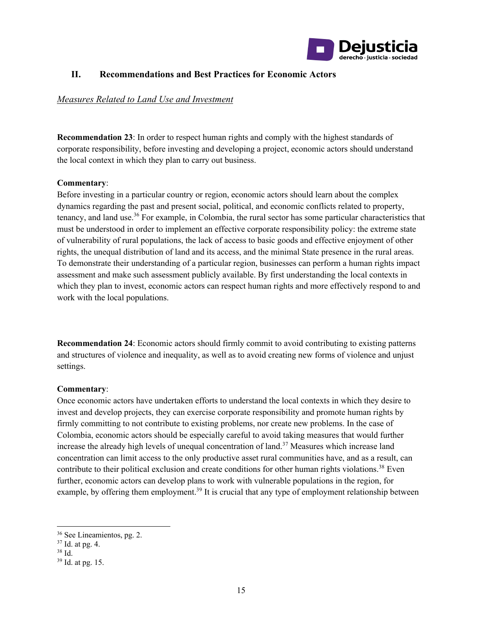

### **II. Recommendations and Best Practices for Economic Actors**

#### *Measures Related to Land Use and Investment*

**Recommendation 23**: In order to respect human rights and comply with the highest standards of corporate responsibility, before investing and developing a project, economic actors should understand the local context in which they plan to carry out business.

#### **Commentary**:

Before investing in a particular country or region, economic actors should learn about the complex dynamics regarding the past and present social, political, and economic conflicts related to property, tenancy, and land use.36 For example, in Colombia, the rural sector has some particular characteristics that must be understood in order to implement an effective corporate responsibility policy: the extreme state of vulnerability of rural populations, the lack of access to basic goods and effective enjoyment of other rights, the unequal distribution of land and its access, and the minimal State presence in the rural areas. To demonstrate their understanding of a particular region, businesses can perform a human rights impact assessment and make such assessment publicly available. By first understanding the local contexts in which they plan to invest, economic actors can respect human rights and more effectively respond to and work with the local populations.

**Recommendation 24**: Economic actors should firmly commit to avoid contributing to existing patterns and structures of violence and inequality, as well as to avoid creating new forms of violence and unjust settings.

#### **Commentary**:

Once economic actors have undertaken efforts to understand the local contexts in which they desire to invest and develop projects, they can exercise corporate responsibility and promote human rights by firmly committing to not contribute to existing problems, nor create new problems. In the case of Colombia, economic actors should be especially careful to avoid taking measures that would further increase the already high levels of unequal concentration of land.<sup>37</sup> Measures which increase land concentration can limit access to the only productive asset rural communities have, and as a result, can contribute to their political exclusion and create conditions for other human rights violations.<sup>38</sup> Even further, economic actors can develop plans to work with vulnerable populations in the region, for example, by offering them employment.<sup>39</sup> It is crucial that any type of employment relationship between

<sup>&</sup>lt;sup>36</sup> See Lineamientos, pg. 2.<br><sup>37</sup> Id. at pg. 4.<br><sup>38</sup> Id. <sup>39</sup> Id. at pg. 15.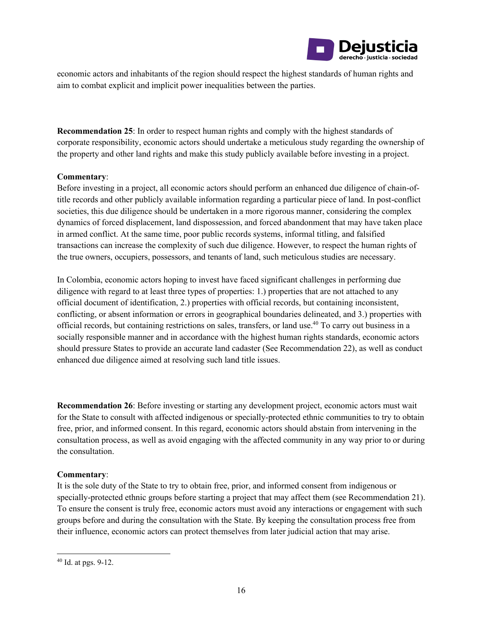

economic actors and inhabitants of the region should respect the highest standards of human rights and aim to combat explicit and implicit power inequalities between the parties.

**Recommendation 25**: In order to respect human rights and comply with the highest standards of corporate responsibility, economic actors should undertake a meticulous study regarding the ownership of the property and other land rights and make this study publicly available before investing in a project.

#### **Commentary**:

Before investing in a project, all economic actors should perform an enhanced due diligence of chain-oftitle records and other publicly available information regarding a particular piece of land. In post-conflict societies, this due diligence should be undertaken in a more rigorous manner, considering the complex dynamics of forced displacement, land dispossession, and forced abandonment that may have taken place in armed conflict. At the same time, poor public records systems, informal titling, and falsified transactions can increase the complexity of such due diligence. However, to respect the human rights of the true owners, occupiers, possessors, and tenants of land, such meticulous studies are necessary.

In Colombia, economic actors hoping to invest have faced significant challenges in performing due diligence with regard to at least three types of properties: 1.) properties that are not attached to any official document of identification, 2.) properties with official records, but containing inconsistent, conflicting, or absent information or errors in geographical boundaries delineated, and 3.) properties with official records, but containing restrictions on sales, transfers, or land use.40 To carry out business in a socially responsible manner and in accordance with the highest human rights standards, economic actors should pressure States to provide an accurate land cadaster (See Recommendation 22), as well as conduct enhanced due diligence aimed at resolving such land title issues.

**Recommendation 26**: Before investing or starting any development project, economic actors must wait for the State to consult with affected indigenous or specially-protected ethnic communities to try to obtain free, prior, and informed consent. In this regard, economic actors should abstain from intervening in the consultation process, as well as avoid engaging with the affected community in any way prior to or during the consultation.

#### **Commentary**:

It is the sole duty of the State to try to obtain free, prior, and informed consent from indigenous or specially-protected ethnic groups before starting a project that may affect them (see Recommendation 21). To ensure the consent is truly free, economic actors must avoid any interactions or engagement with such groups before and during the consultation with the State. By keeping the consultation process free from their influence, economic actors can protect themselves from later judicial action that may arise.

<sup>40</sup> Id. at pgs. 9-12.